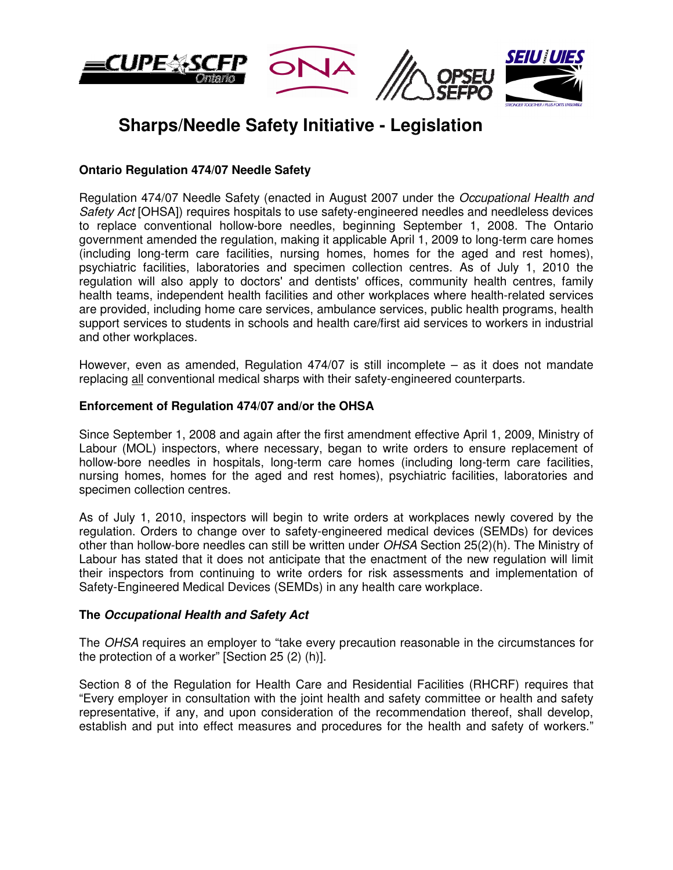

# **Sharps/Needle Safety Initiative - Legislation**

# **Ontario Regulation 474/07 Needle Safety**

Regulation 474/07 Needle Safety (enacted in August 2007 under the Occupational Health and Safety Act [OHSA]) requires hospitals to use safety-engineered needles and needleless devices to replace conventional hollow-bore needles, beginning September 1, 2008. The Ontario government amended the regulation, making it applicable April 1, 2009 to long-term care homes (including long-term care facilities, nursing homes, homes for the aged and rest homes), psychiatric facilities, laboratories and specimen collection centres. As of July 1, 2010 the regulation will also apply to doctors' and dentists' offices, community health centres, family health teams, independent health facilities and other workplaces where health-related services are provided, including home care services, ambulance services, public health programs, health support services to students in schools and health care/first aid services to workers in industrial and other workplaces.

However, even as amended, Regulation 474/07 is still incomplete – as it does not mandate replacing all conventional medical sharps with their safety-engineered counterparts.

### **Enforcement of Regulation 474/07 and/or the OHSA**

Since September 1, 2008 and again after the first amendment effective April 1, 2009, Ministry of Labour (MOL) inspectors, where necessary, began to write orders to ensure replacement of hollow-bore needles in hospitals, long-term care homes (including long-term care facilities, nursing homes, homes for the aged and rest homes), psychiatric facilities, laboratories and specimen collection centres.

As of July 1, 2010, inspectors will begin to write orders at workplaces newly covered by the regulation. Orders to change over to safety-engineered medical devices (SEMDs) for devices other than hollow-bore needles can still be written under OHSA Section 25(2)(h). The Ministry of Labour has stated that it does not anticipate that the enactment of the new regulation will limit their inspectors from continuing to write orders for risk assessments and implementation of Safety-Engineered Medical Devices (SEMDs) in any health care workplace.

## **The Occupational Health and Safety Act**

The OHSA requires an employer to "take every precaution reasonable in the circumstances for the protection of a worker" [Section 25 (2) (h)].

Section 8 of the Regulation for Health Care and Residential Facilities (RHCRF) requires that "Every employer in consultation with the joint health and safety committee or health and safety representative, if any, and upon consideration of the recommendation thereof, shall develop, establish and put into effect measures and procedures for the health and safety of workers."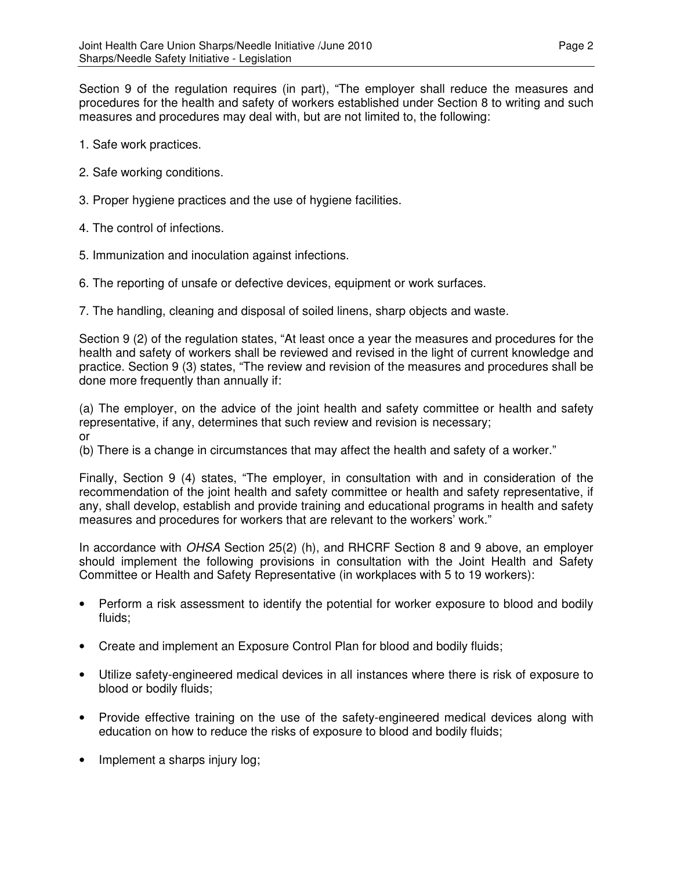Section 9 of the regulation requires (in part), "The employer shall reduce the measures and procedures for the health and safety of workers established under Section 8 to writing and such measures and procedures may deal with, but are not limited to, the following:

- 1. Safe work practices.
- 2. Safe working conditions.
- 3. Proper hygiene practices and the use of hygiene facilities.
- 4. The control of infections.
- 5. Immunization and inoculation against infections.
- 6. The reporting of unsafe or defective devices, equipment or work surfaces.
- 7. The handling, cleaning and disposal of soiled linens, sharp objects and waste.

Section 9 (2) of the regulation states, "At least once a year the measures and procedures for the health and safety of workers shall be reviewed and revised in the light of current knowledge and practice. Section 9 (3) states, "The review and revision of the measures and procedures shall be done more frequently than annually if:

(a) The employer, on the advice of the joint health and safety committee or health and safety representative, if any, determines that such review and revision is necessary; or

(b) There is a change in circumstances that may affect the health and safety of a worker."

Finally, Section 9 (4) states, "The employer, in consultation with and in consideration of the recommendation of the joint health and safety committee or health and safety representative, if any, shall develop, establish and provide training and educational programs in health and safety measures and procedures for workers that are relevant to the workers' work."

In accordance with OHSA Section 25(2) (h), and RHCRF Section 8 and 9 above, an employer should implement the following provisions in consultation with the Joint Health and Safety Committee or Health and Safety Representative (in workplaces with 5 to 19 workers):

- Perform a risk assessment to identify the potential for worker exposure to blood and bodily fluids;
- Create and implement an Exposure Control Plan for blood and bodily fluids;
- Utilize safety-engineered medical devices in all instances where there is risk of exposure to blood or bodily fluids;
- Provide effective training on the use of the safety-engineered medical devices along with education on how to reduce the risks of exposure to blood and bodily fluids;
- Implement a sharps injury log;